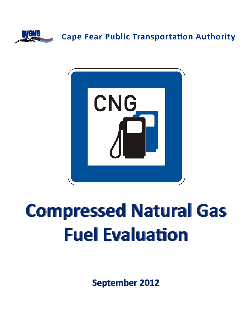



# **Compressed Compressed Natural Natural Gas Fuel EvaluaƟon**

**September September 2012**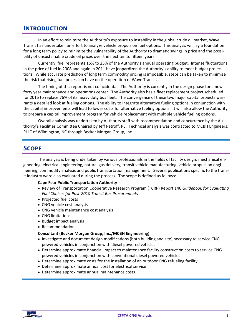# **INTRODUCTION**

In an effort to minimize the Authority's exposure to instability in the global crude oil market, Wave Transit has undertaken an effort to analyze vehicle propulsion fuel options. This analysis will lay a foundation for a long term policy to minimize the vulnerability of the Authority to dramatic swings in price and the possibility of unsustainable crude oil prices over the next ten to fifteen years.

Currently, fuel represents 15% to 25% of the Authority's annual operating budget. Intense fluctuations in the price of fuel in 2008 and again in 2011 have jeopardized the Authority's ability to meet budget projections. While accurate prediction of long term commodity pricing is impossible, steps can be taken to minimize the risk that rising fuel prices can have on the operation of Wave Transit.

The timing of this report is not coincidental. The Authority is currently in the design phase for a new forty year maintenance and operations center. The Authority also has a fleet replacement project scheduled for 2015 to replace 76% of its heavy duty bus fleet. The convergence of these two major capital projects warrants a detailed look at fueling options. The ability to integrate alternative fueling options in conjunction with the capital improvements will lead to lower costs for alternative fueling options. It will also allow the Authority to prepare a capital improvement program for vehicle replacement with multiple vehicle fueling options.

Overall analysis was undertaken by Authority staff with recommendation and concurrence by the Authority's Facilities Committee Chaired by Jeff Petroff, PE. Technical analysis was contracted to MCBH Engineers, PLLC of Wilmington, NC through Becker Morgan Group, Inc.

# **SCOPE**

The analysis is being undertaken by various professionals in the fields of facility design, mechanical engineering, electrical engineering, natural gas delivery, transit vehicle manufacturing, vehicle propulsion engineering, commodity analysis and public transportation management. Several publications specific to the transit industry were also evaluated during the process. The scope is defined as follows:

#### **Cape Fear Public TransportaƟon Authority**

- Review of Transportation Cooperative Research Program (TCRP) Report 146 *Guidebook for Evaluating Fuel Choices for Post‐2010 Transit Bus Procurements*
- Projected fuel costs
- CNG vehicle cost analysis
- CNG vehicle maintenance cost analysis
- CNG limitations
- Budget impact analysis
- Recommendation

#### **Consultant (Becker Morgan Group, Inc./MCBH Engineering)**

- Investigate and document design modifications (both building and site) necessary to service CNG powered vehicles in conjunction with diesel powered vehicles
- Determine approximate financial impact to maintenance facility construction costs to service CNG powered vehicles in conjunction with conventional diesel powered vehicles
- Determine approximate costs for the installation of an outdoor CNG refueling facility
- Determine approximate annual cost for electrical service
- Determine approximate annual maintenance costs

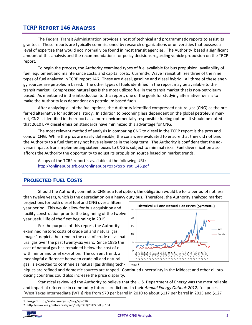# **TCRP REPORT 146 ANALYSIS**

The Federal Transit Administration provides a host of technical and programmatic reports to assist its grantees. These reports are typically commissioned by research organizations or universities that possess a level of expertise that would not normally be found in most transit agencies. The Authority based a significant amount of this analysis and the recommendations for policy decisions regarding vehicle propulsion on the TRCP report.

To begin the process, the Authority examined types of fuel available for bus propulsion, availability of fuel, equipment and maintenance costs, and capital costs. Currently, Wave Transit utilizes three of the nine types of fuel analyzed in TCRP report 146. These are diesel, gasoline and diesel hybrid. All three of these energy sources are petroleum based. The other types of fuels identified in the report may be available to the transit market. Compressed natural gas is the most utilized fuel in the transit market that is non-petroleum based. As mentioned in the introduction to this report, one of the goals for studying alternative fuels is to make the Authority less dependent on petroleum based fuels.

After analyzing all of the fuel options, the Authority identified compressed natural gas (CNG) as the preferred alternative for additional study. In addition to becoming less dependent on the global petroleum market, CNG is identified in the report as a more environmentally responsible fueling option. It should be noted that 2010 EPA diesel emission standards have minimized this advantage for CNG.

The most relevant method of analysis in comparing CNG to diesel in the TCRP report is the pros and cons of CNG. While the pros are easily defensible, the cons were evaluated to ensure that they did not bind the Authority to a fuel that may not have relevance in the long term. The Authority is confident that the adverse impacts from implementing sixteen buses to CNG is subject to minimal risks. Fuel diversification also affords the Authority the opportunity to adjust its propulsion source based on market trends.

A copy of the TCRP report is available at the following URL: http://onlinepubs.trb.org/onlinepubs/tcrp/tcrp rpt 146.pdf

# **PROJECTED FUEL COSTS**

Should the Authority commit to CNG as a fuel option, the obligation would be for a period of not less than twelve years, which is the depreciation on a heavy duty bus. Therefore, the Authority analyzed market

projections for both diesel fuel and CNG over a fifteen year period. This would allow for bus acquisition and facility construction prior to the beginning of the twelve year useful life of the fleet beginning in 2015.

For the purpose of this report, the Authority examined historic costs of crude oil and natural gas. Image 1 depicts the trend in the cost of crude oil vs. natural gas over the past twenty-six years. Since 1986 the cost of natural gas has remained below the cost of oil with minor and brief exception. The current trend, a meaningful difference between crude oil and natural gas, is expected to continue as natural gas drilling tech-



niques are refined and domestic sources are tapped. Continued uncertainty in the Mideast and other oil producing countries could also increase the price disparity.

Statistical review led the Authority to believe that the U.S. Department of Energy was the most reliable and impartial reference in commodity futures prediction. In their Annual Energy Outlook 2012, "oil prices [West Texas Intermediate (WTI)] rise from \$79 per barrel in 2010 to about \$117 per barrel in 2015 and \$127

<sup>2.</sup> http://www.eia.gov/forecasts/aeo/pdf/0383(2012).pdf p. 104



<sup>1.</sup> Image 1 http://avalonenergy.us/blog/?p=376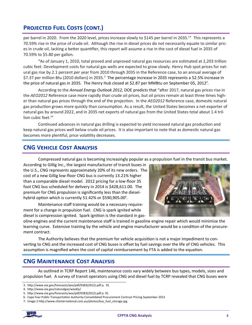# **PROJECTED FUEL COSTS (CONT.)**

per barrel in 2020. From the 2020 level, prices increase slowly to \$145 per barrel in 2035.<sup>2</sup>" This represents a 70.59% rise in the price of crude oil. Although the rise in diesel prices do not necessarily equate to similar prices in crude oil, lacking a better quantifier, this report will assume a rise in the cost of diesel fuel in 2035 of 70.59% to \$5.80 per gallon.

"As of January 1, 2010, total proved and unproved natural gas resources are estimated at 2,203 trillion cubic feet. Development costs for natural gas wells are expected to grow slowly. Henry Hub spot prices for natural gas rise by 2.1 percent per year from 2010 through 2035 in the Reference case, to an annual average of \$7.37 per million Btu (2010 dollars) in 2035.<sup>3</sup> The percentage increase in 2035 represents a 52.5% increase in the price of natural gas in 2035. The Henry Hub closed at \$2.87 per MMBtu on September 05, 2012<sup>4</sup>.

According to the Annual Energy Outlook 2012, DOE predicts that "after 2017, natural gas prices rise in the AEO2012 Reference case more rapidly than crude oil prices, but oil prices remain at least three times higher than natural gas prices through the end of the projection. In the AEO2012 Reference case, domestic natural gas production grows more quickly than consumption. As a result, the United States becomes a net exporter of natural gas by around 2022, and in 2035 net exports of natural gas from the United States total about 1.4 trillion cubic feet.<sup>5"</sup>

Continued advances in natural gas drilling is expected to yield increased natural gas production and keep natural gas prices well below crude oil prices. It is also important to note that as domestic natural gas becomes more plentiful, price volatility decreases.

# **CNG VEHICLE COST ANALYSIS**

Compressed natural gas is becoming increasingly popular as a propulsion fuel in the transit bus market.

According to Gillig Inc., the largest manufacturer of transit buses in the U.S., CNG represents approximately 20% of its new orders. The cost of a new Gillig low-floor CNG bus is currently 13.21% higher than a comparable diesel model. 2012 pricing for a low-floor 35 foot CNG bus scheduled for delivery in 2014 is \$428,611.00. The premium for CNG propulsion is significantly less than the dieselhybrid option which is currently 51.42% or \$590,905.00 $^{\circ}$ .

Maintenance staff training would be a necessary requirement for a change in propulsion fuel. CNG is spark ignited while diesel is compression ignited. Spark ignition is the standard in gas-



oline engines and the current maintenance staff is trained in gasoline engine repair which would minimize the learning curve. Extensive training by the vehicle and engine manufacturer would be a condition of the procurement contract.

The Authority believes that the premium for vehicle acquisition is not a major impediment to converting to CNG and the increased cost of CNG buses is offset by fuel savings over the life of CNG vehicles. This assumption is magnified when the cost of capital reimbursement by FTA is added to the equation.

# **CNG MAINTENANCE COST ANALYSIS**

As outlined in TCRP Report 146, maintenance costs vary widely between bus types, models, sizes and propulsion fuel. A survey of transit operators using CNG and diesel fuel by TCRP revealed that CNG buses were

<sup>3.</sup> http://www.eia.gov/forecasts/aeo/pdf/0383(2012).pdf p. 91

<sup>4.</sup> http://www.eia.gov/naturalgas/weekly/

<sup>5.</sup> http://www.eia.gov/forecasts/aeo/pdf/0383(2012).pdf p. 91

<sup>6.</sup> Cape Fear Public Transportation Authority Consolidated Procurement Contract Pricing September 2012

<sup>7.</sup> Image 2 http://www.cfsinternational.com.au/photos/bus fuel storage.jpg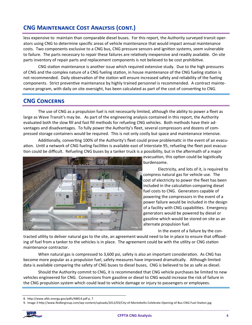# **CNG MAINTENANCE COST ANALYSIS (CONT.)**

less expensive to maintain than comparable diesel buses. For this report, the Authority surveyed transit operators using CNG to determine specific areas of vehicle maintenance that would impact annual maintenance costs. Two components exclusive to a CNG bus, CNG pressure sensors and ignition systems, seem vulnerable to failure. The parts necessary to repair these failures are relatively inexpensive and readily available. On site parts inventory of repair parts and replacement components is not believed to be cost prohibitive.

CNG station maintenance is another issue which required extensive study. Due to the high pressures of CNG and the complex nature of a CNG fueling station, in house maintenance of the CNG fueling station is not recommended. Daily observation of the station will ensure increased safety and reliability of the fueling components. Strict preventive maintenance by highly trained personnel is recommended. A contract maintenance program, with daily on site oversight, has been calculated as part of the cost of converting to CNG.

# **CNG CONCERNS**

The use of CNG as a propulsion fuel is not necessarily limited, although the ability to power a fleet as large as Wave Transit's may be. As part of the engineering analysis contained in this report, the Authority evaluated both the slow fill and fast fill methods for refueling CNG vehicles. Both methods have their advantages and disadvantages. To fully power the Authority's fleet, several compressors and dozens of compressed storage containers would be required. This is not only costly but space and maintenance intensive.

Additionally, converting 100% of the Authority's fleet could prove problematic in the event of an evacuation. Until a network of CNG fueling facilities is available east of Interstate 95, refueling the fleet post evacuation could be difficult. Refueling CNG buses by a tanker truck is a possibility, but in the aftermath of a major



evacuation, this option could be logistically burdensome.

Electricity, and lots of it, is required to compress natural gas for vehicle use. The cost of electricity to power the fleet has been included in the calculation comparing diesel fuel costs to CNG. Generators capable of powering the compressors in the event of a power failure would be included in the design of a facility with CNG capabilities. Emergency generators would be powered by diesel or gasoline which would be stored on site as an alternate propulsion fuel.

In the event of a failure by the con-

tracted utility to deliver natural gas to the site, an agreement would need to be in place to ensure that offloading of fuel from a tanker to the vehicles is in place. The agreement could be with the utility or CNG station maintenance contractor.

When natural gas is compressed to 3,600 psi, safety is also an important consideration. As CNG has become more popular as a propulsion fuel, safety measures have improved dramatically. Although limited data is available comparing the safety of CNG buses to diesel buses, CNG is believed to be as safe as diesel.

Should the Authority commit to CNG, it is recommended that CNG vehicle purchases be limited to new vehicles engineered for CNG. Conversions from gasoline or diesel to CNG would increase the risk of failure in the CNG propulsion system which could lead to vehicle damage or injury to passengers or employees.

<sup>9.</sup> Image 3 http://www.fiedlergroup.com/wp-content/uploads/2012/03/City-of-Montebello-Celebrate-Opening-of-Bus-CNG-Fuel-Station.jpg



<sup>8.</sup> http://www.afdc.energy.gov/pdfs/48814.pdf p. 7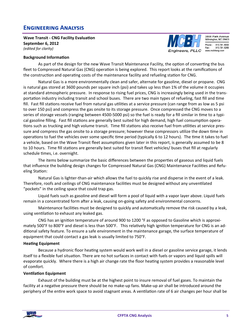# **ENGINEERING ANALYSIS**

**Wave Transit ‐ CNG Facility EvaluaƟon September 6, 2012** *(edited for clarity)* 

#### **Background Information**



3808 Park Avenue Wilmington, NC 28403 Phone: 910.791.4000 910.791.5266 www.mcbheng.com

As part of the design for the new Wave Transit Maintenance Facility, the option of converting the bus fleet to Compressed Natural Gas (CNG) operation is being explored. This report looks at the ramifications of the construction and operating costs of the maintenance facility and refueling station for CNG.

Natural Gas is a more environmentally clean and safer, alternate for gasoline, diesel or propane. CNG is natural gas stored at 3600 pounds per square inch (psi) and takes up less than 1% of the volume it occupies at standard atmospheric pressure. In response to rising fuel prices, CNG is increasingly being used in the transportation industry including transit and school buses. There are two main types of refueling, fast fill and time fill. Fast fill stations receive fuel from natural gas utilities at a service pressure (can range from as low as 5 psi to over 150 psi) and compress the gas onsite to its storage pressure. Once compressed the CNG moves to a series of storage vessels (ranging between 4500-5000 psi) so the fuel is ready for a fill similar in time to a typical gasoline filling. Fast fill stations are generally best suited for high demand, high fuel consumption operations such as trucking and high volume transit. Time fill stations also receive fuel from utilities at service pressure and compress the gas onsite to a storage pressure; however these compressors utilize the down time in operations to fuel the vehicles over some specific time period (typically 6 to 12 hours). The time it takes to fuel a vehicle, based on the Wave Transit fleet assumptions given later in this report, is generally assumed to be 8 to 10 hours. Time fill stations are generally best suited for transit fleet vehicles/ buses that fill at regularly schedule times, i.e. overnight.

The items below summarize the basic differences between the properties of gaseous and liquid fuels that influence the building design changes for Compressed Natural Gas (CNG) Maintenance Facilities and Refueling Station:

Natural Gas is lighter-than-air which allows the fuel to quickly rise and disperse in the event of a leak. Therefore, roofs and ceilings of CNG maintenance facilities must be designed without any unventilated "pockets" in the ceiling space that could trap gas.

Liquid fuels such as gasoline and diesel will form a pool of liquid with a vapor layer above. Liquid fuels remain in a concentrated form after a leak, causing on-going safety and environmental concerns.

Maintenance facilities must be designed to quickly and automatically remove the risk caused by a leak, using ventilation to exhaust any leaked gas.

CNG has an ignition temperature of around 900 to 1200 °F as opposed to Gasoline which is approximately 500°F to 800°F and diesel is less than 500°F. This relatively high ignition temperature for CNG is an additional safety feature. To ensure a safe environment in the maintenance garage, the surface temperature of equipment that could contact a gas leak is usually limited to 750°F.

#### **HeaƟng Equipment**

Because a hydronic floor heating system would work well in a diesel or gasoline service garage, it lends itself to a flexible fuel situation. There are no hot surfaces in contact with fuels or vapors and liquid spills will evaporate quickly. Where there is a high air change rate the floor heating system provides a reasonable level of comfort.

#### **VenƟlaƟon Equipment**

Exhaust of the building must be at the highest point to insure removal of fuel gases. To maintain the facility at a negative pressure there should be no make-up fans. Make-up air shall be introduced around the periphery of the entire work space to avoid stagnant areas. A ventilation rate of 6 air changes per hour shall be

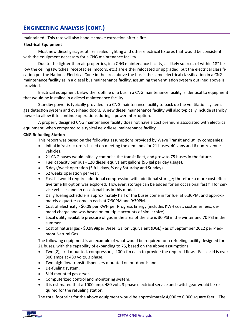maintained. This rate will also handle smoke extraction after a fire.

#### **Electrical Equipment**

Most new diesel garages utilize sealed lighting and other electrical fixtures that would be consistent with the equipment necessary for a CNG maintenance facility.

Due to the lighter than air properties, in a CNG maintenance facility, all likely sources of within 18" below the ceiling (switches, receptacles, motors, etc.) are either relocated or upgraded, but the electrical classification per the National Electrical Code in the area above the bus is the same electrical classification in a CNG maintenance facility as in a diesel bus maintenance facility, assuming the ventilation system outlined above is provided.

Electrical equipment below the roofline of a bus in a CNG maintenance facility is identical to equipment that would be installed in a diesel maintenance facility.

Standby power is typically provided in a CNG maintenance facility to back up the ventilation system, gas detection system and overhead doors. A new diesel maintenance facility will also typically include standby power to allow it to continue operations during a power interruption.

A properly designed CNG maintenance facility does not have a cost premium associated with electrical equipment, when compared to a typical new diesel maintenance facility.

#### **CNG Refueling StaƟon**

This report was based on the following assumptions provided by Wave Transit and utility companies:

- Initial infrastructure is based on meeting the demands for 21 buses, 40 vans and 6 non-revenue vehicles.
- 21 CNG buses would initially comprise the transit fleet, and grow to 75 buses in the future.
- Fuel capacity per bus 120 diesel equivalent gallons (96 gal per day usage).
- $\bullet$  6 days/week operation (5 full days,  $\frac{1}{2}$  day Saturday and Sunday).
- 52 weeks operation per year.
- Fast fill would require additional compression with additional storage; therefore a more cost effective time fill option was explored. However, storage can be added for an occasional fast fill for service vehicles and an occasional bus in this model.
- Daily fueling schedule is approximately half of the buses come in for fuel at 6:30PM, and approximately a quarter come in each at 7:30PM and 9:30PM.
- Cost of electricity \$0.09 per KWH per Progress Energy (includes KWH cost, customer fees, demand charge and was based on multiple accounts of similar size).
- Local utility available pressure of gas in the area of the site is 30 PSI in the winter and 70 PSI in the summer.
- Cost of natural gas \$0.9898per Diesel Gallon Equivalent (DGE) as of September 2012 per Piedmont Natural Gas.

The following equipment is an example of what would be required for a refueling facility designed for 21 buses, with the capability of expanding to 75, based on the above assumptions:

- Two (2), skid mounted, compressors, 400scfm each to provide the required flow. Each skid is over 300 amps at 480 volts, 3 phase.
- Two high flow transit dispensers mounted on outdoor islands.
- De-fueling system.
- Skid mounted gas dryer.
- Computerized control and monitoring system.
- It is estimated that a 1000 amp, 480 volt, 3 phase electrical service and switchgear would be required for the refueling station.

The total footprint for the above equipment would be approximately 4,000 to 6,000 square feet. The

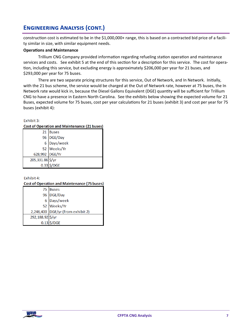construction cost is estimated to be in the \$1,000,000+ range, this is based on a contracted bid price of a facility similar in size, with similar equipment needs.

#### **Operations and Maintenance**

Trillium CNG Company provided information regarding refueling station operation and maintenance services and costs. See exhibit 5 at the end of this section for a description for this service. The cost for operation, including this service, but excluding energy is approximately \$206,000 per year for 21 buses, and \$293,000 per year for 75 buses.

There are two separate pricing structures for this service, Out of Network, and In Network. Initially, with the 21 bus scheme, the service would be charged at the Out of Network rate, however at 75 buses, the In Network rate would kick in, because the Diesel Gallons Equivalent (DGE) quantity will be sufficient for Trillium CNG to have a presence in Eastern North Carolina. See the exhibits below showing the expected volume for 21 Buses, expected volume for 75 buses, cost per year calculations for 21 buses (exhibit 3) and cost per year for 75 buses (exhibit 4):

#### Exhibit 3:

#### **Cost of Operation and Maintenance (21 buses)**

|                  | 21 Buses    |
|------------------|-------------|
|                  | 96 DGE/Day  |
|                  | 6 Days/week |
|                  | 52 Weeks/Yr |
| 628,992 DGE/Yr   |             |
| 205,331.86 \$/yr |             |
| 0.33             | /DGE        |

Exhibit 4:

#### **Cost of Operation and Maintenance (75 buses)**

|                  | 75 Buses                          |
|------------------|-----------------------------------|
|                  | 96 DGE/Day                        |
|                  | 6 Days/week                       |
|                  | 52 Weeks/Yr                       |
|                  | 2,246,400 DGE/yr (from exhibit 2) |
| 292,188.92 \$/yr |                                   |
|                  | $0.13$ \$/DGE                     |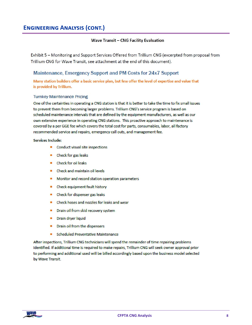#### **Wave Transit - CNG Facility Evaluation**

Exhibit 5 – Monitoring and Support Services Offered from Trillium CNG (excerpted from proposal from Trillium CNG for Wave Transit, see attachment at the end of this document).

### Maintenance, Emergency Support and PM Costs for 24x7 Support

Many station builders offer a basic service plan, but few offer the level of expertise and value that is provided by Trillium.

#### **Turnkey Maintenance Pricing**

One of the certainties in operating a CNG station is that it is better to take the time to fix small issues to prevent them from becoming larger problems. Trillium CNG's service program is based on scheduled maintenance intervals that are defined by the equipment manufacturers, as well as our own extensive experience in operating CNG stations. This proactive approach to maintenance is covered by a per GGE fee which covers the total cost for parts, consumables, labor, all factory recommended service and repairs, emergency call outs, and management fee.

#### **Services Include:**

- Conduct visual site inspections
- Check for gas leaks
- Check for oil leaks
- Check and maintain oil levels
- Monitor and record station operation parameters
- Check equipment fault history
- Check for dispenser gas leaks
- Check hoses and nozzles for leaks and wear
- $\blacksquare$ Drain oil from skid recovery system
- Drain dryer liquid
- Drain oil from the dispensers
- **Scheduled Preventative Maintenance**

After inspections, Trillium CNG technicians will spend the remainder of time repairing problems identified. If additional time is required to make repairs, Trillium CNG will seek owner approval prior to performing and additional used will be billed accordingly based upon the business model selected by Wave Transit.

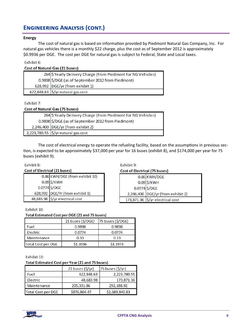#### **Energy**

The cost of natural gas is based on information provided by Piedmont Natural Gas Company, Inc. For natural gas vehicles there is a monthly \$22 charge, plus the cost as of September 2012 is approximately \$0.9936 per DGE. The cost per DGE for natural gas is subject to Federal, State and Local taxes.

#### Exhibit 6:

| <b>Cost of Natural Gas (21 buses)</b> |                                                              |
|---------------------------------------|--------------------------------------------------------------|
|                                       | 264 \$Yearly Delivery Charge (from Piedmont for NG Vehicles) |
|                                       | 0.9898 \$/DGE (as of September 2012 from Piedmont)           |
|                                       | 628,992 DGE/yr (from exhibit 1)                              |
|                                       | 622,848.63 $\frac{1}{2}$ /yr natural gas cost                |

Exhibit 7:

#### **Cost of Natural Gas (75 buses)**

| 264 \$ Yearly Delivery Charge (from Piedmont for NG Vehicles) |
|---------------------------------------------------------------|
| 0.9898 \$/DGE (as of September 2012 from Piedmont)            |
| $2,246,400$ DGE/yr (from exhibit 2)                           |
| 2,223,780.55 $\frac{1}{2}$ yr natural gas cost                |

The cost of electrical energy to operate the refueling facility, based on the assumptions in previous section, is expected to be approximately \$37,000 per year for 16 buses (exhibit 8), and \$174,000 per year for 75 buses (exhibit 9).

#### Exhibit 8:

#### **Cost of Electrical (21 buses)**

| 0.86 KWH/DGE (from exhibit 10)  |
|---------------------------------|
|                                 |
| 0.09 \$/KWH<br>0.0774 \$/DGE    |
| 628,992 DGE/Yr (from exhibit 1) |
| 48,683.98 \$/yr electrical cost |

Exhibit 10:

#### Total Estimated Cost per DGE (21 and 75 buses)

|                           | 21 buses (\$/DGE) | 75 buses (\$/DGE) |
|---------------------------|-------------------|-------------------|
| Fuel                      | 0.9898            | 0.9898            |
| Electric                  | 0.0774            | 0.0774            |
| Maintenance               | 0.33              | 0.13              |
| <b>Total Cost per DGE</b> | \$1.3936          | \$1.1973          |

Exhibit 11:

#### Total Estimated Cost per Year (21 and 75 buses)

|                           | 21 buses $(\frac{2}{3})$ yr) | 75 buses $(\frac{5}{yr})$ |
|---------------------------|------------------------------|---------------------------|
| Fuel                      | 622,848.63                   | 2,223,780.55              |
| Electric                  | 48.683.98                    | 173.871.36                |
| Maintenance               | 205,331.86                   | 292,188.92                |
| <b>Total Cost per DGE</b> | \$876,864.47                 | \$2,689,840.83            |

#### Exhibit 9:

# **Cost of Electrical (75 buses)**

| 0.86 KWH/DGE                      |
|-----------------------------------|
|                                   |
| 0.09 \$/KWH<br>0.0774 \$/DGE      |
| 2,246,400 DGE/yr (from exhibit 2) |
| 173,871.36 \$/yr electrical cost  |

Wave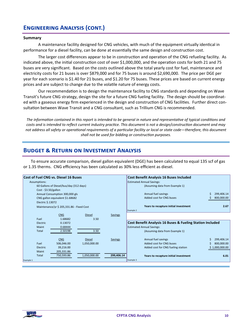#### **Summary**

A maintenance facility designed for CNG vehicles, with much of the equipment virtually identical in performance for a diesel facility, can be done at essentially the same design and construction cost.

The larger cost differences appear to be in construction and operation of the CNG refueling facility. As indicated above, the initial construction cost of over \$1,000,000, and the operation costs for both 21 and 75 buses are very significant. Based on the costs outlined above the total yearly cost for fuel, maintenance and electricity costs for 21 buses is over \$879,000 and for 75 buses is around \$2,690,000. The price per DGE per year for each scenario is \$1.40 for 21 buses, and \$1.20 for 75 buses. These prices are based on current energy prices and are subject to change due to the volatile nature of energy costs.

Our recommendation is to design the maintenance facility to CNG standards and depending on Wave Transit's future CNG strategy, design the site for a future CNG fueling facility. The design should be coordinated with a gaseous energy firm experienced in the design and construction of CNG facilities. Further direct consultation between Wave Transit and a CNG consultant, such as Trillium CNG is recommended.

The information contained in this report is intended to be general in nature and representative of typical conditions and costs and is intended to reflect current industry practice. This document is not a design/construction document and may not address all safety or operational requirements of a particular facility or local or state code—therefore, this document shall not be used for bidding or construction purposes.

## **BUDGET & RETURN ON INVESTMENT ANALYSIS**

To ensure accurate comparison, diesel gallon equivalent (DGE) has been calculated to equal 135 scf of gas or 1.35 therms. CNG efficiency has been calculated as 30% less efficient as diesel.



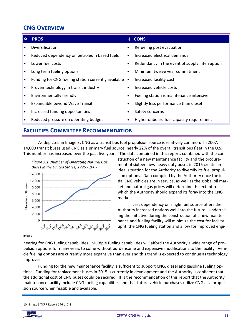# **CNG OVERVIEW**

#### d **PROS ♦ CONS** Diversification Refueling post evacuation Reduced dependency on petroleum based fuels Increased electrical demands  $\bullet$  $\bullet$ Lower fuel costs Redundancy in the event of supply interruption  $\bullet$ Long term fueling options  $\bullet$ Minimum twelve year commitment  $\bullet$ Funding for CNG fueling station currently available • Increased facility cost  $\bullet$ Proven technology in transit industry Increased vehicle costs **Environmentally friendly** Fueling station is maintenance intensive  $\bullet$ Expandable beyond Wave Transit Slightly less performance than diesel  $\bullet$  $\bullet$ Increased funding opportunities Safety concerns Reduced pressure on operating budget Higher onboard fuel capacity requirement  $\bullet$ **FACILITIES COMMITTEE RECOMMENDATION**

As depicted in Image 3, CNG as a transit bus fuel propulsion source is relatively common. In 2007, 14,000 transit buses used CNG as a primary fuel source, nearly 22% of the overall transit bus fleet in the U.S. This number has increased over the past five years. The data contained in this report, combined with the con-



struction of a new maintenance facility and the procurement of sixteen new heavy duty buses in 2015 create an ideal situation for the Authority to diversify its fuel propulsion options. Data compiled by the Authority once the initial CNG vehicles are in service, as well as the global oil market and natural gas prices will determine the extent to which the Authority should expand its foray into the CNG market.

Less dependency on single fuel source offers the Authority increased options well into the future. Undertaking the initiative during the construction of a new maintenance and fueling facility will minimize the cost for facility upfit, the CNG fueling station and allow for improved engi-

Image 3

neering for CNG fueling capabilities. Multiple fueling capabilities will afford the Authority a wide range of propulsion options for many years to come without burdensome and expensive modifications to the facility. Vehicle fueling options are currently more expansive than ever and this trend is expected to continue as technology improves.

Funding for the new maintenance facility is sufficient to support CNG, diesel and gasoline fueling options. Funding for replacement buses in 2015 is currently in development and the Authority is confident that the additional cost of CNG buses could be secured. It is the recommendation of this report that the Authority maintenance facility include CNG fueling capabilities and that future vehicle purchases utilize CNG as a propulsion source when feasible and available.

<sup>10.</sup> Image 3 TCRP Report 146 p. 7-3

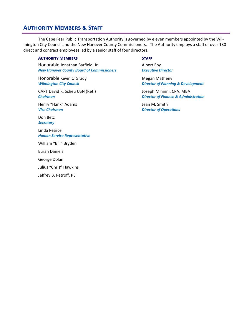# **AUTHORITY MEMBERS & STAFF**

The Cape Fear Public Transportation Authority is governed by eleven members appointed by the Wilmington City Council and the New Hanover County Commissioners. The Authority employs a staff of over 130 direct and contract employees led by a senior staff of four directors.

#### **AUTHORITY MEMBERS STAFF**

Honorable Jonathan Barfield, Jr.  **1998 1998 1998 1999 1999 1999** Albert Eby *New Hanover County Board of Commissioners ExecuƟve Director*

Honorable Kevin O'Grady **Matheny** Megan Matheny

CAPT David R. Scheu USN (Ret.) Joseph Mininni, CPA, MBA *Chairman Director of Finance & AdministraƟon*

Henry "Hank" Adams  **Gallery 2018** Jean M. Smith

Don Betz *Secretary*

Linda Pearce *Human Service RepresentaƟve*

William "Bill" Bryden

Euran Daniels

George Dolan

Julius "Chris" Hawkins

Jeffrey B. Petroff, PE

*Wilmington City Council Director of Planning & Development*

*Vice Chairman Director of OperaƟons*